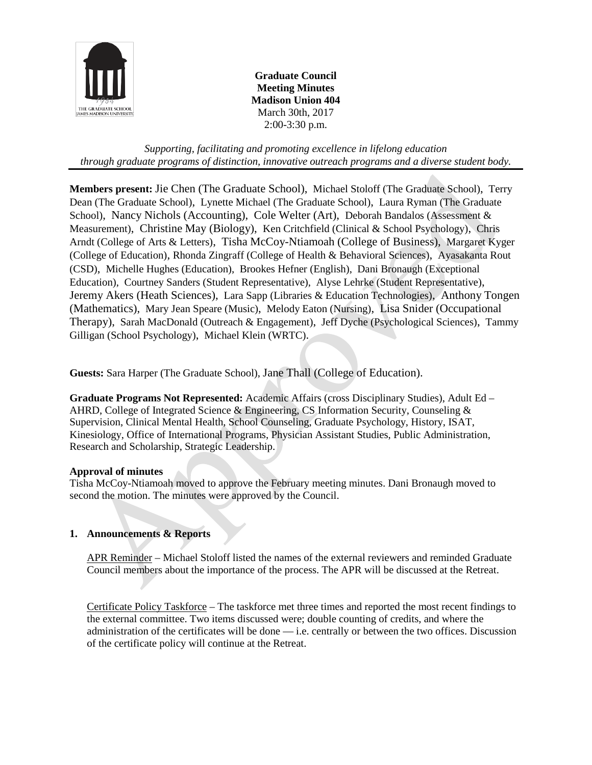

**Graduate Council Meeting Minutes Madison Union 404** March 30th, 2017 2:00-3:30 p.m.

*Supporting, facilitating and promoting excellence in lifelong education through graduate programs of distinction, innovative outreach programs and a diverse student body.*

**Members present:** Jie Chen (The Graduate School), Michael Stoloff (The Graduate School), Terry Dean (The Graduate School), Lynette Michael (The Graduate School), Laura Ryman (The Graduate School), Nancy Nichols (Accounting), Cole Welter (Art), Deborah Bandalos (Assessment & Measurement), Christine May (Biology), Ken Critchfield (Clinical & School Psychology), Chris Arndt (College of Arts & Letters), Tisha McCoy-Ntiamoah (College of Business), Margaret Kyger (College of Education), Rhonda Zingraff (College of Health & Behavioral Sciences), Ayasakanta Rout (CSD), Michelle Hughes (Education), Brookes Hefner (English), Dani Bronaugh (Exceptional Education), Courtney Sanders (Student Representative), Alyse Lehrke (Student Representative), Jeremy Akers (Heath Sciences), Lara Sapp (Libraries & Education Technologies), Anthony Tongen (Mathematics), Mary Jean Speare (Music), Melody Eaton (Nursing), Lisa Snider (Occupational Therapy), Sarah MacDonald (Outreach & Engagement), Jeff Dyche (Psychological Sciences), Tammy Gilligan (School Psychology), Michael Klein (WRTC).

**Guests:** Sara Harper (The Graduate School), Jane Thall (College of Education).

**Graduate Programs Not Represented:** Academic Affairs (cross Disciplinary Studies), Adult Ed – AHRD, College of Integrated Science & Engineering, CS Information Security, Counseling & Supervision, Clinical Mental Health, School Counseling, Graduate Psychology, History, ISAT, Kinesiology, Office of International Programs, Physician Assistant Studies, Public Administration, Research and Scholarship, Strategic Leadership.

## **Approval of minutes**

Tisha McCoy-Ntiamoah moved to approve the February meeting minutes. Dani Bronaugh moved to second the motion. The minutes were approved by the Council.

## **1. Announcements & Reports**

APR Reminder – Michael Stoloff listed the names of the external reviewers and reminded Graduate Council members about the importance of the process. The APR will be discussed at the Retreat.

Certificate Policy Taskforce – The taskforce met three times and reported the most recent findings to the external committee. Two items discussed were; double counting of credits, and where the administration of the certificates will be done — i.e. centrally or between the two offices. Discussion of the certificate policy will continue at the Retreat.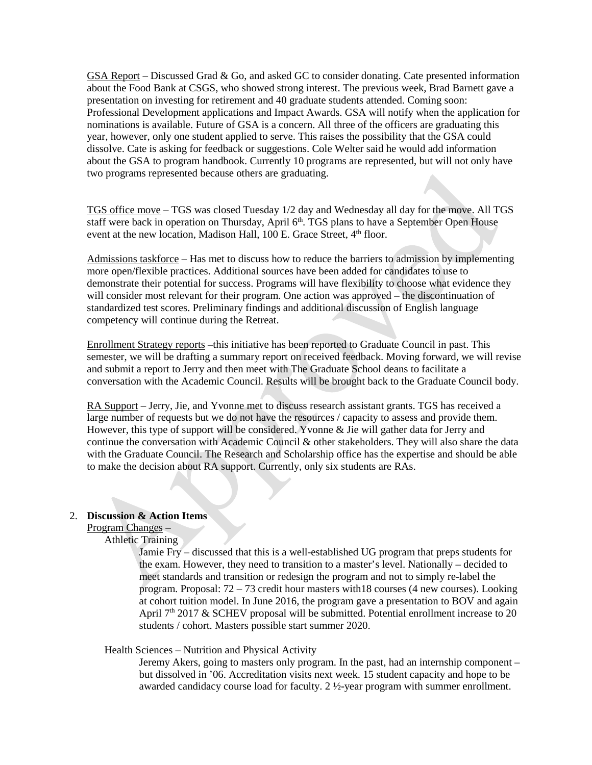GSA Report – Discussed Grad & Go, and asked GC to consider donating. Cate presented information about the Food Bank at CSGS, who showed strong interest. The previous week, Brad Barnett gave a presentation on investing for retirement and 40 graduate students attended. Coming soon: Professional Development applications and Impact Awards. GSA will notify when the application for nominations is available. Future of GSA is a concern. All three of the officers are graduating this year, however, only one student applied to serve. This raises the possibility that the GSA could dissolve. Cate is asking for feedback or suggestions. Cole Welter said he would add information about the GSA to program handbook. Currently 10 programs are represented, but will not only have two programs represented because others are graduating.

TGS office move – TGS was closed Tuesday 1/2 day and Wednesday all day for the move. All TGS staff were back in operation on Thursday, April 6<sup>th</sup>. TGS plans to have a September Open House event at the new location, Madison Hall,  $100$  E. Grace Street,  $4<sup>th</sup>$  floor.

Admissions taskforce – Has met to discuss how to reduce the barriers to admission by implementing more open/flexible practices. Additional sources have been added for candidates to use to demonstrate their potential for success. Programs will have flexibility to choose what evidence they will consider most relevant for their program. One action was approved – the discontinuation of standardized test scores. Preliminary findings and additional discussion of English language competency will continue during the Retreat.

Enrollment Strategy reports –this initiative has been reported to Graduate Council in past. This semester, we will be drafting a summary report on received feedback. Moving forward, we will revise and submit a report to Jerry and then meet with The Graduate School deans to facilitate a conversation with the Academic Council. Results will be brought back to the Graduate Council body.

RA Support – Jerry, Jie, and Yvonne met to discuss research assistant grants. TGS has received a large number of requests but we do not have the resources / capacity to assess and provide them. However, this type of support will be considered. Yvonne & Jie will gather data for Jerry and continue the conversation with Academic Council & other stakeholders. They will also share the data with the Graduate Council. The Research and Scholarship office has the expertise and should be able to make the decision about RA support. Currently, only six students are RAs.

## 2. **Discussion & Action Items**

Program Changes –

Athletic Training

Jamie Fry – discussed that this is a well-established UG program that preps students for the exam. However, they need to transition to a master's level. Nationally – decided to meet standards and transition or redesign the program and not to simply re-label the program. Proposal: 72 – 73 credit hour masters with18 courses (4 new courses). Looking at cohort tuition model. In June 2016, the program gave a presentation to BOV and again April  $7<sup>th</sup>$  2017 & SCHEV proposal will be submitted. Potential enrollment increase to 20 students / cohort. Masters possible start summer 2020.

Health Sciences – Nutrition and Physical Activity

Jeremy Akers, going to masters only program. In the past, had an internship component – but dissolved in '06. Accreditation visits next week. 15 student capacity and hope to be awarded candidacy course load for faculty. 2 ½-year program with summer enrollment.